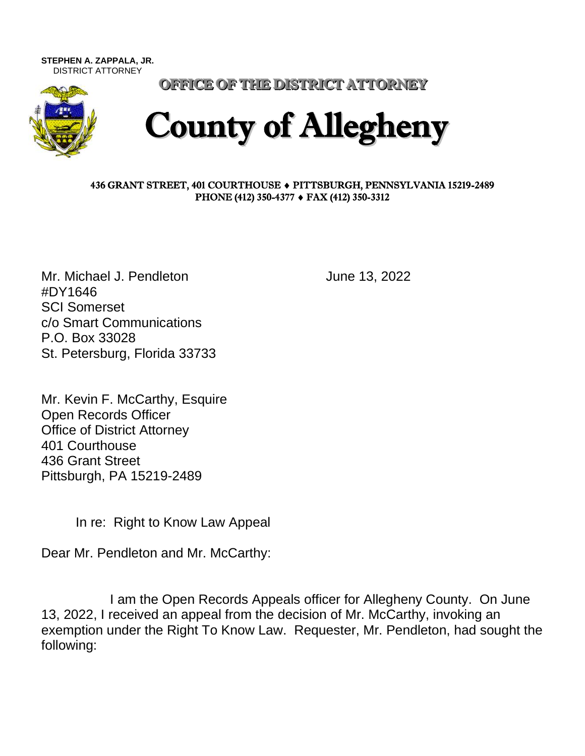**STEPHEN A. ZAPPALA, JR.**  DISTRICT ATTORNEY



OFFICE OF THE DISTRICT ATTORNEY

## County of Allegheny

## 436 GRANT STREET, 401 COURTHOUSE PITTSBURGH, PENNSYLVANIA 15219-2489 PHONE (412) 350-4377 ♦ FAX (412) 350-3312

Mr. Michael J. Pendleton June 13, 2022 #DY1646 SCI Somerset c/o Smart Communications P.O. Box 33028 St. Petersburg, Florida 33733

Mr. Kevin F. McCarthy, Esquire Open Records Officer Office of District Attorney 401 Courthouse 436 Grant Street Pittsburgh, PA 15219-2489

In re: Right to Know Law Appeal

Dear Mr. Pendleton and Mr. McCarthy:

I am the Open Records Appeals officer for Allegheny County. On June 13, 2022, I received an appeal from the decision of Mr. McCarthy, invoking an exemption under the Right To Know Law. Requester, Mr. Pendleton, had sought the following: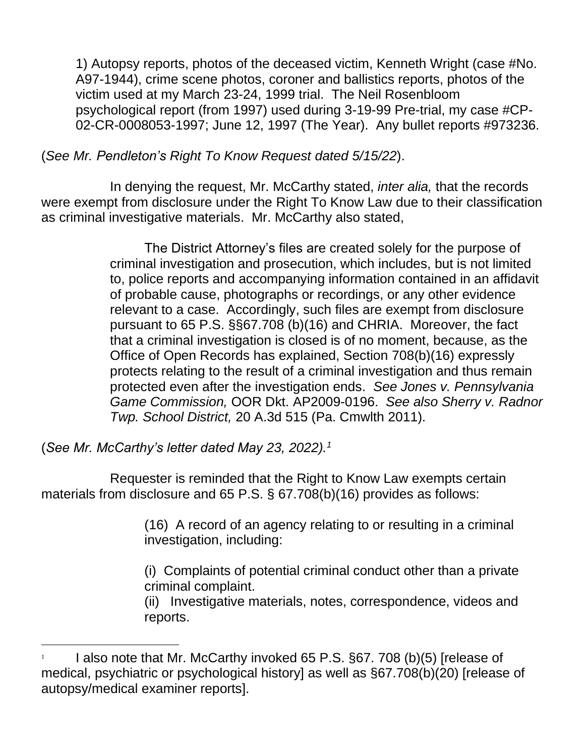1) Autopsy reports, photos of the deceased victim, Kenneth Wright (case #No. A97-1944), crime scene photos, coroner and ballistics reports, photos of the victim used at my March 23-24, 1999 trial. The Neil Rosenbloom psychological report (from 1997) used during 3-19-99 Pre-trial, my case #CP-02-CR-0008053-1997; June 12, 1997 (The Year). Any bullet reports #973236.

(*See Mr. Pendleton's Right To Know Request dated 5/15/22*).

In denying the request, Mr. McCarthy stated, *inter alia,* that the records were exempt from disclosure under the Right To Know Law due to their classification as criminal investigative materials. Mr. McCarthy also stated,

> The District Attorney's files are created solely for the purpose of criminal investigation and prosecution, which includes, but is not limited to, police reports and accompanying information contained in an affidavit of probable cause, photographs or recordings, or any other evidence relevant to a case. Accordingly, such files are exempt from disclosure pursuant to 65 P.S. §§67.708 (b)(16) and CHRIA. Moreover, the fact that a criminal investigation is closed is of no moment, because, as the Office of Open Records has explained, Section 708(b)(16) expressly protects relating to the result of a criminal investigation and thus remain protected even after the investigation ends. *See Jones v. Pennsylvania Game Commission,* OOR Dkt. AP2009-0196. *See also Sherry v. Radnor Twp. School District,* 20 A.3d 515 (Pa. Cmwlth 2011).

(*See Mr. McCarthy's letter dated May 23, 2022).<sup>1</sup>*

Requester is reminded that the Right to Know Law exempts certain materials from disclosure and 65 P.S. § 67.708(b)(16) provides as follows:

> (16) A record of an agency relating to or resulting in a criminal investigation, including:

(i) Complaints of potential criminal conduct other than a private criminal complaint.

(ii) Investigative materials, notes, correspondence, videos and reports.

<sup>1</sup> I also note that Mr. McCarthy invoked 65 P.S. §67. 708 (b)(5) [release of medical, psychiatric or psychological history] as well as §67.708(b)(20) [release of autopsy/medical examiner reports].